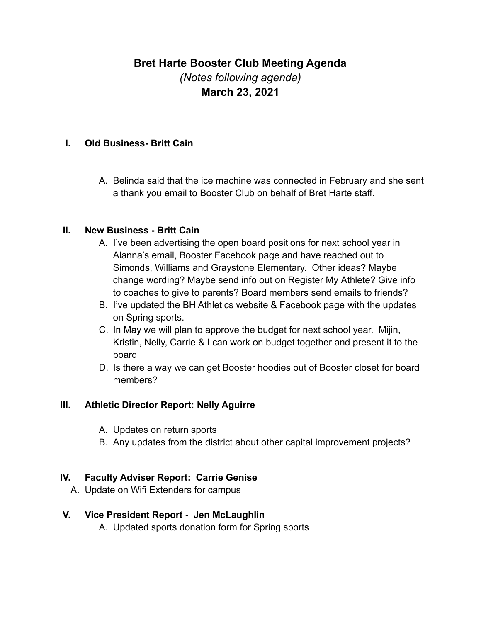# **Bret Harte Booster Club Meeting Agenda** *(Notes following agenda)* **March 23, 2021**

#### **I. Old Business- Britt Cain**

A. Belinda said that the ice machine was connected in February and she sent a thank you email to Booster Club on behalf of Bret Harte staff.

#### **II. New Business - Britt Cain**

- A. I've been advertising the open board positions for next school year in Alanna's email, Booster Facebook page and have reached out to Simonds, Williams and Graystone Elementary. Other ideas? Maybe change wording? Maybe send info out on Register My Athlete? Give info to coaches to give to parents? Board members send emails to friends?
- B. I've updated the BH Athletics website & Facebook page with the updates on Spring sports.
- C. In May we will plan to approve the budget for next school year. Mijin, Kristin, Nelly, Carrie & I can work on budget together and present it to the board
- D. Is there a way we can get Booster hoodies out of Booster closet for board members?

### **III. Athletic Director Report: Nelly Aguirre**

- A. Updates on return sports
- B. Any updates from the district about other capital improvement projects?

### **IV. Faculty Adviser Report: Carrie Genise**

A. Update on Wifi Extenders for campus

### **V. Vice President Report - Jen McLaughlin**

A. Updated sports donation form for Spring sports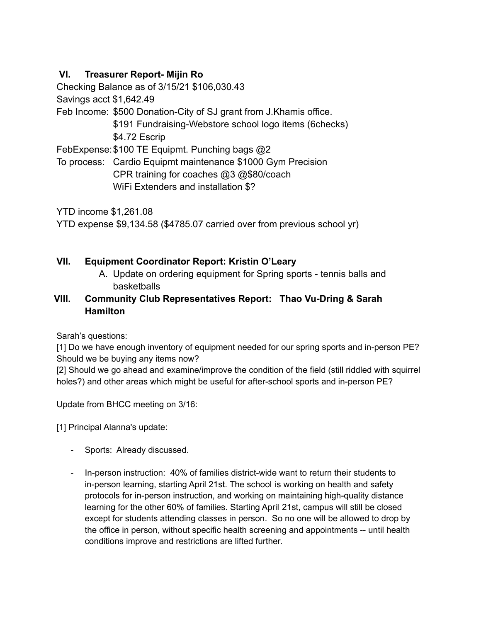# **VI. Treasurer Report- Mijin Ro**

Checking Balance as of 3/15/21 \$106,030.43

Savings acct \$1,642.49

Feb Income: \$500 Donation-City of SJ grant from J.Khamis office.

\$191 Fundraising-Webstore school logo items (6checks) \$4.72 Escrip

FebExpense:\$100 TE Equipmt. Punching bags @2

To process: Cardio Equipmt maintenance \$1000 Gym Precision CPR training for coaches @3 @\$80/coach WiFi Extenders and installation \$?

YTD income \$1,261.08

YTD expense \$9,134.58 (\$4785.07 carried over from previous school yr)

## **VII. Equipment Coordinator Report: Kristin O'Leary**

A. Update on ordering equipment for Spring sports - tennis balls and basketballs

### **VIII. Community Club Representatives Report: Thao Vu-Dring & Sarah Hamilton**

Sarah's questions:

[1] Do we have enough inventory of equipment needed for our spring sports and in-person PE? Should we be buying any items now?

[2] Should we go ahead and examine/improve the condition of the field (still riddled with squirrel holes?) and other areas which might be useful for after-school sports and in-person PE?

Update from BHCC meeting on 3/16:

[1] Principal Alanna's update:

- Sports: Already discussed.
- In-person instruction: 40% of families district-wide want to return their students to in-person learning, starting April 21st. The school is working on health and safety protocols for in-person instruction, and working on maintaining high-quality distance learning for the other 60% of families. Starting April 21st, campus will still be closed except for students attending classes in person. So no one will be allowed to drop by the office in person, without specific health screening and appointments -- until health conditions improve and restrictions are lifted further.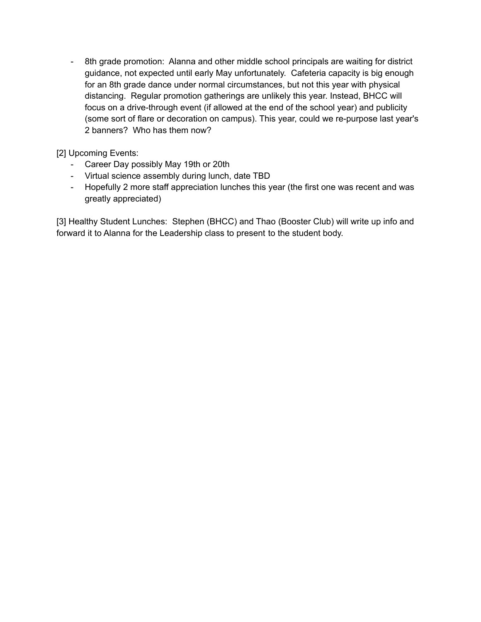- 8th grade promotion: Alanna and other middle school principals are waiting for district guidance, not expected until early May unfortunately. Cafeteria capacity is big enough for an 8th grade dance under normal circumstances, but not this year with physical distancing. Regular promotion gatherings are unlikely this year. Instead, BHCC will focus on a drive-through event (if allowed at the end of the school year) and publicity (some sort of flare or decoration on campus). This year, could we re-purpose last year's 2 banners? Who has them now?

[2] Upcoming Events:

- Career Day possibly May 19th or 20th
- Virtual science assembly during lunch, date TBD
- Hopefully 2 more staff appreciation lunches this year (the first one was recent and was greatly appreciated)

[3] Healthy Student Lunches: Stephen (BHCC) and Thao (Booster Club) will write up info and forward it to Alanna for the Leadership class to present to the student body.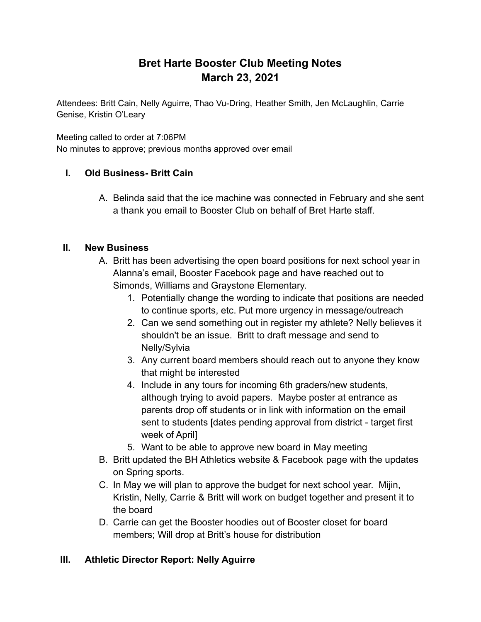# **Bret Harte Booster Club Meeting Notes March 23, 2021**

Attendees: Britt Cain, Nelly Aguirre, Thao Vu-Dring, Heather Smith, Jen McLaughlin, Carrie Genise, Kristin O'Leary

Meeting called to order at 7:06PM

No minutes to approve; previous months approved over email

## **I. Old Business- Britt Cain**

A. Belinda said that the ice machine was connected in February and she sent a thank you email to Booster Club on behalf of Bret Harte staff.

## **II. New Business**

- A. Britt has been advertising the open board positions for next school year in Alanna's email, Booster Facebook page and have reached out to Simonds, Williams and Graystone Elementary.
	- 1. Potentially change the wording to indicate that positions are needed to continue sports, etc. Put more urgency in message/outreach
	- 2. Can we send something out in register my athlete? Nelly believes it shouldn't be an issue. Britt to draft message and send to Nelly/Sylvia
	- 3. Any current board members should reach out to anyone they know that might be interested
	- 4. Include in any tours for incoming 6th graders/new students, although trying to avoid papers. Maybe poster at entrance as parents drop off students or in link with information on the email sent to students [dates pending approval from district - target first week of April]
	- 5. Want to be able to approve new board in May meeting
- B. Britt updated the BH Athletics website & Facebook page with the updates on Spring sports.
- C. In May we will plan to approve the budget for next school year. Mijin, Kristin, Nelly, Carrie & Britt will work on budget together and present it to the board
- D. Carrie can get the Booster hoodies out of Booster closet for board members; Will drop at Britt's house for distribution

## **III. Athletic Director Report: Nelly Aguirre**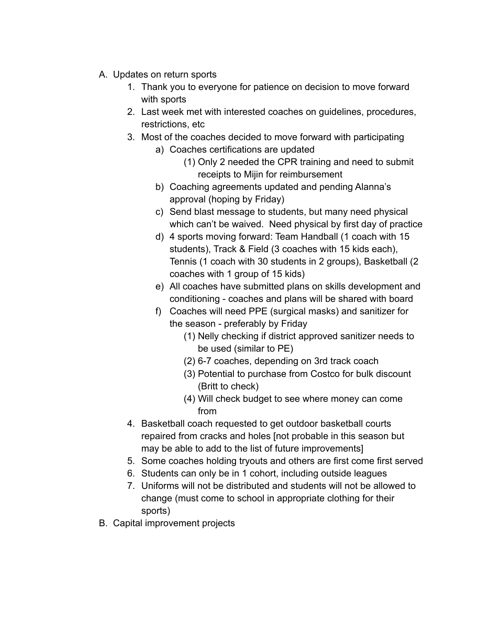- A. Updates on return sports
	- 1. Thank you to everyone for patience on decision to move forward with sports
	- 2. Last week met with interested coaches on guidelines, procedures, restrictions, etc
	- 3. Most of the coaches decided to move forward with participating
		- a) Coaches certifications are updated
			- (1) Only 2 needed the CPR training and need to submit receipts to Mijin for reimbursement
		- b) Coaching agreements updated and pending Alanna's approval (hoping by Friday)
		- c) Send blast message to students, but many need physical which can't be waived. Need physical by first day of practice
		- d) 4 sports moving forward: Team Handball (1 coach with 15 students), Track & Field (3 coaches with 15 kids each), Tennis (1 coach with 30 students in 2 groups), Basketball (2 coaches with 1 group of 15 kids)
		- e) All coaches have submitted plans on skills development and conditioning - coaches and plans will be shared with board
		- f) Coaches will need PPE (surgical masks) and sanitizer for the season - preferably by Friday
			- (1) Nelly checking if district approved sanitizer needs to be used (similar to PE)
			- (2) 6-7 coaches, depending on 3rd track coach
			- (3) Potential to purchase from Costco for bulk discount (Britt to check)
			- (4) Will check budget to see where money can come from
	- 4. Basketball coach requested to get outdoor basketball courts repaired from cracks and holes [not probable in this season but may be able to add to the list of future improvements]
	- 5. Some coaches holding tryouts and others are first come first served
	- 6. Students can only be in 1 cohort, including outside leagues
	- 7. Uniforms will not be distributed and students will not be allowed to change (must come to school in appropriate clothing for their sports)
- B. Capital improvement projects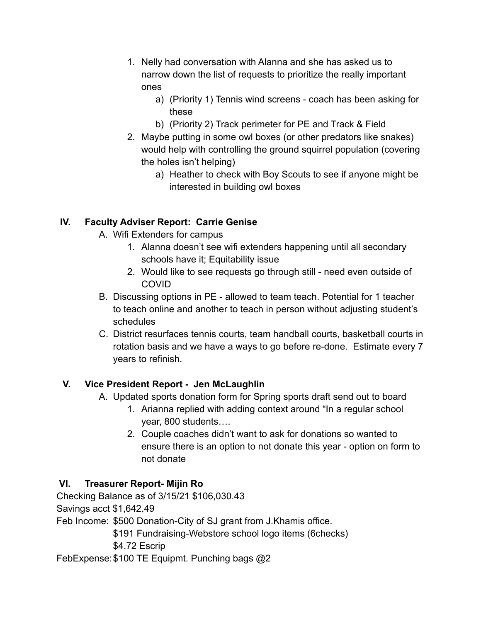- 1. Nelly had conversation with Alanna and she has asked us to narrow down the list of requests to prioritize the really important ones
	- a) (Priority 1) Tennis wind screens coach has been asking for these
	- b) (Priority 2) Track perimeter for PE and Track & Field
- 2. Maybe putting in some owl boxes (or other predators like snakes) would help with controlling the ground squirrel population (covering the holes isn't helping)
	- a) Heather to check with Boy Scouts to see if anyone might be interested in building owl boxes

# **IV. Faculty Adviser Report: Carrie Genise**

- A. Wifi Extenders for campus
	- 1. Alanna doesn't see wifi extenders happening until all secondary schools have it; Equitability issue
	- 2. Would like to see requests go through still need even outside of COVID
- B. Discussing options in PE allowed to team teach. Potential for 1 teacher to teach online and another to teach in person without adjusting student's schedules
- C. District resurfaces tennis courts, team handball courts, basketball courts in rotation basis and we have a ways to go before re-done. Estimate every 7 years to refinish.

# **V. Vice President Report - Jen McLaughlin**

- A. Updated sports donation form for Spring sports draft send out to board
	- 1. Arianna replied with adding context around "In a regular school year, 800 students….
	- 2. Couple coaches didn't want to ask for donations so wanted to ensure there is an option to not donate this year - option on form to not donate

# **VI. Treasurer Report- Mijin Ro**

Checking Balance as of 3/15/21 \$106,030.43 Savings acct \$1,642.49 Feb Income: \$500 Donation-City of SJ grant from J.Khamis office. \$191 Fundraising-Webstore school logo items (6checks) \$4.72 Escrip FebExpense:\$100 TE Equipmt. Punching bags @2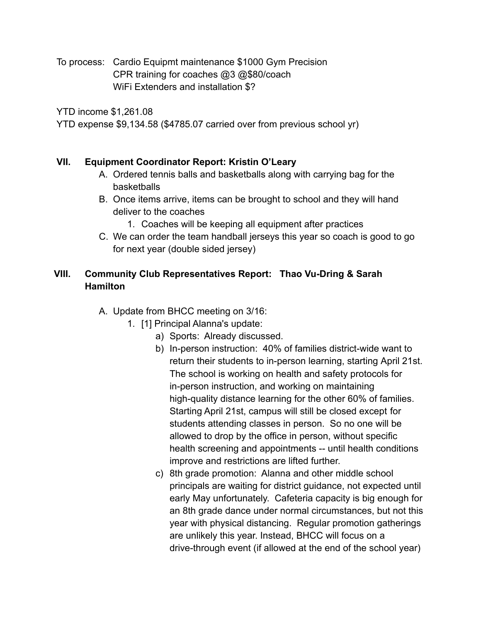To process: Cardio Equipmt maintenance \$1000 Gym Precision CPR training for coaches @3 @\$80/coach WiFi Extenders and installation \$?

YTD income \$1,261.08

YTD expense \$9,134.58 (\$4785.07 carried over from previous school yr)

### **VII. Equipment Coordinator Report: Kristin O'Leary**

- A. Ordered tennis balls and basketballs along with carrying bag for the basketballs
- B. Once items arrive, items can be brought to school and they will hand deliver to the coaches
	- 1. Coaches will be keeping all equipment after practices
- C. We can order the team handball jerseys this year so coach is good to go for next year (double sided jersey)

# **VIII. Community Club Representatives Report: Thao Vu-Dring & Sarah Hamilton**

- A. Update from BHCC meeting on 3/16:
	- 1. [1] Principal Alanna's update:
		- a) Sports: Already discussed.
		- b) In-person instruction: 40% of families district-wide want to return their students to in-person learning, starting April 21st. The school is working on health and safety protocols for in-person instruction, and working on maintaining high-quality distance learning for the other 60% of families. Starting April 21st, campus will still be closed except for students attending classes in person. So no one will be allowed to drop by the office in person, without specific health screening and appointments -- until health conditions improve and restrictions are lifted further.
		- c) 8th grade promotion: Alanna and other middle school principals are waiting for district guidance, not expected until early May unfortunately. Cafeteria capacity is big enough for an 8th grade dance under normal circumstances, but not this year with physical distancing. Regular promotion gatherings are unlikely this year. Instead, BHCC will focus on a drive-through event (if allowed at the end of the school year)